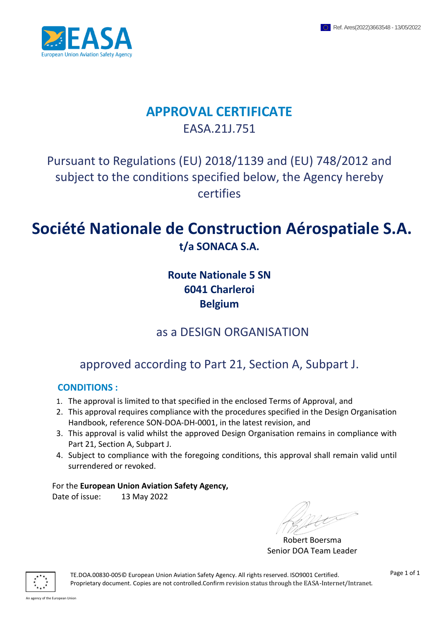

## **APPROVAL CERTIFICATE** EASA.21J.751

## Pursuant to Regulations (EU) 2018/1139 and (EU) 748/2012 and subject to the conditions specified below, the Agency hereby certifies

# **Société Nationale de Construction Aérospatiale S.A. t/a SONACA S.A.**

## **Route Nationale 5 SN 6041 Charleroi Belgium**

## as a DESIGN ORGANISATION

# approved according to Part 21, Section A, Subpart J.

## **CONDITIONS :**

- 1. The approval is limited to that specified in the enclosed Terms of Approval, and
- 2. This approval requires compliance with the procedures specified in the Design Organisation Handbook, reference SON-DOA-DH-0001, in the latest revision, and
- 3. This approval is valid whilst the approved Design Organisation remains in compliance with Part 21, Section A, Subpart J.
- 4. Subject to compliance with the foregoing conditions, this approval shall remain valid until surrendered or revoked.

## For the **European Union Aviation Safety Agency,**

Date of issue: 13 May 2022

Robert Boersma Senior DOA Team Leader



 TE.DOA.00830-005© European Union Aviation Safety Agency. All rights reserved. ISO9001 Certified. Proprietary document. Copies are not controlled.Confirm revision status through the EASA-Internet/Intranet.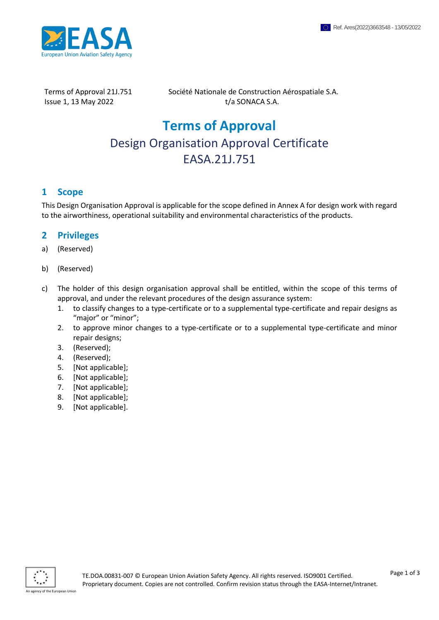

Terms of Approval 21J.751 Société Nationale de Construction Aérospatiale S.A.  $I$ ssue 1, 13 May 2022  $I/a$  SONACA S.A.

# **Terms of Approval** Design Organisation Approval Certificate EASA.21J.751

### **1 Scope**

This Design Organisation Approval is applicable for the scope defined in Annex A for design work with regard to the airworthiness, operational suitability and environmental characteristics of the products.

#### **2 Privileges**

- a) (Reserved)
- b) (Reserved)
- c) The holder of this design organisation approval shall be entitled, within the scope of this terms of approval, and under the relevant procedures of the design assurance system:
	- 1. to classify changes to a type-certificate or to a supplemental type-certificate and repair designs as "major" or "minor";
	- 2. to approve minor changes to a type-certificate or to a supplemental type-certificate and minor repair designs;
	- 3. (Reserved);
	- 4. (Reserved);
	- 5. [Not applicable];
	- 6. [Not applicable];
	- 7. [Not applicable];
	- 8. [Not applicable];
	- 9. [Not applicable].

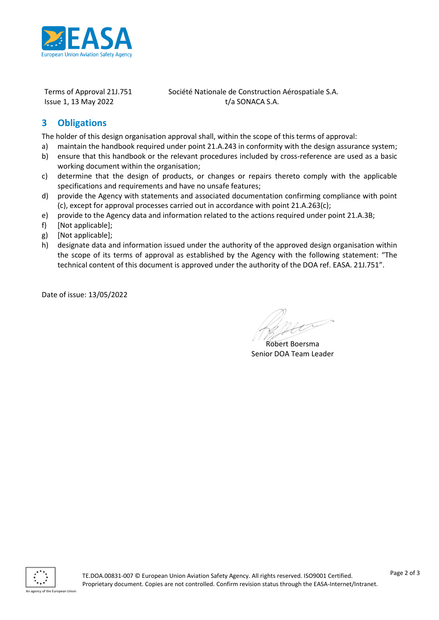

Terms of Approval 21J.751 Société Nationale de Construction Aérospatiale S.A.  $I$ ssue 1, 13 May 2022  $I/a$  SONACA S.A.

## **3 Obligations**

The holder of this design organisation approval shall, within the scope of this terms of approval:

- a) maintain the handbook required under point 21.A.243 in conformity with the design assurance system;
- b) ensure that this handbook or the relevant procedures included by cross-reference are used as a basic working document within the organisation;
- c) determine that the design of products, or changes or repairs thereto comply with the applicable specifications and requirements and have no unsafe features;
- d) provide the Agency with statements and associated documentation confirming compliance with point (c), except for approval processes carried out in accordance with point 21.A.263(c);
- e) provide to the Agency data and information related to the actions required under point 21.A.3B;
- f) [Not applicable];
- g) [Not applicable];
- h) designate data and information issued under the authority of the approved design organisation within the scope of its terms of approval as established by the Agency with the following statement: "The technical content of this document is approved under the authority of the DOA ref. EASA. 21J.751".

Date of issue: 13/05/2022

Robert Boersma Senior DOA Team Leader